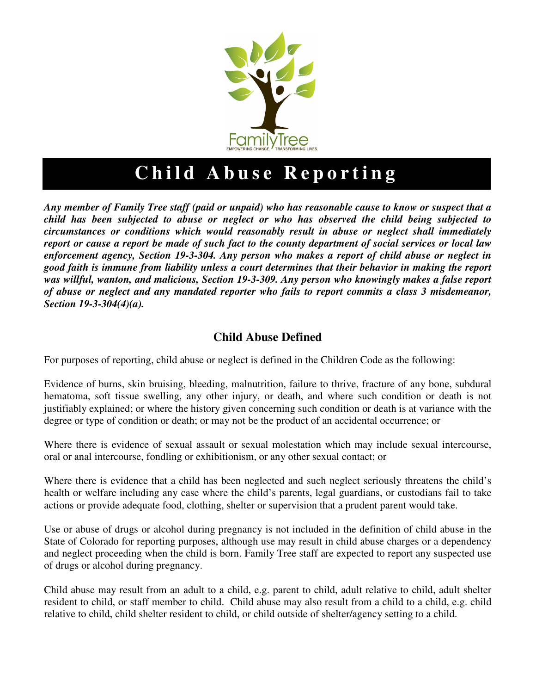

# **Child Abuse Reporting**

*Any member of Family Tree staff (paid or unpaid) who has reasonable cause to know or suspect that a child has been subjected to abuse or neglect or who has observed the child being subjected to circumstances or conditions which would reasonably result in abuse or neglect shall immediately report or cause a report be made of such fact to the county department of social services or local law enforcement agency, Section 19-3-304. Any person who makes a report of child abuse or neglect in good faith is immune from liability unless a court determines that their behavior in making the report was willful, wanton, and malicious, Section 19-3-309. Any person who knowingly makes a false report of abuse or neglect and any mandated reporter who fails to report commits a class 3 misdemeanor, Section 19-3-304(4)(a).* 

## **Child Abuse Defined**

For purposes of reporting, child abuse or neglect is defined in the Children Code as the following:

Evidence of burns, skin bruising, bleeding, malnutrition, failure to thrive, fracture of any bone, subdural hematoma, soft tissue swelling, any other injury, or death, and where such condition or death is not justifiably explained; or where the history given concerning such condition or death is at variance with the degree or type of condition or death; or may not be the product of an accidental occurrence; or

Where there is evidence of sexual assault or sexual molestation which may include sexual intercourse, oral or anal intercourse, fondling or exhibitionism, or any other sexual contact; or

Where there is evidence that a child has been neglected and such neglect seriously threatens the child's health or welfare including any case where the child's parents, legal guardians, or custodians fail to take actions or provide adequate food, clothing, shelter or supervision that a prudent parent would take.

Use or abuse of drugs or alcohol during pregnancy is not included in the definition of child abuse in the State of Colorado for reporting purposes, although use may result in child abuse charges or a dependency and neglect proceeding when the child is born. Family Tree staff are expected to report any suspected use of drugs or alcohol during pregnancy.

Child abuse may result from an adult to a child, e.g. parent to child, adult relative to child, adult shelter resident to child, or staff member to child. Child abuse may also result from a child to a child, e.g. child relative to child, child shelter resident to child, or child outside of shelter/agency setting to a child.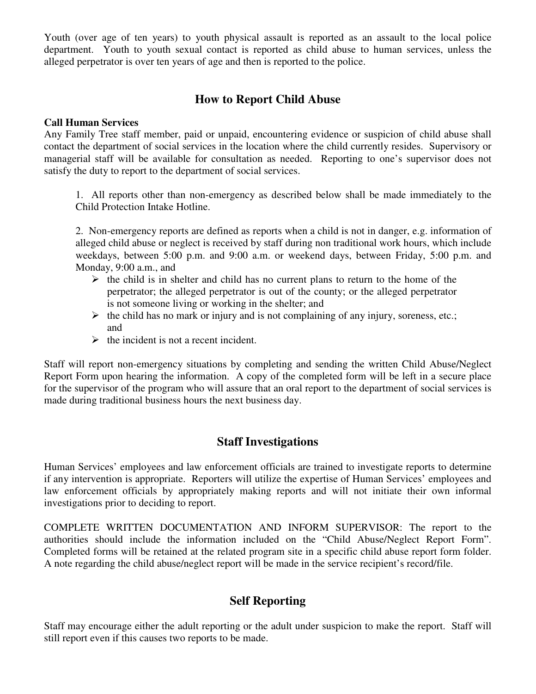Youth (over age of ten years) to youth physical assault is reported as an assault to the local police department. Youth to youth sexual contact is reported as child abuse to human services, unless the alleged perpetrator is over ten years of age and then is reported to the police.

## **How to Report Child Abuse**

#### **Call Human Services**

Any Family Tree staff member, paid or unpaid, encountering evidence or suspicion of child abuse shall contact the department of social services in the location where the child currently resides. Supervisory or managerial staff will be available for consultation as needed. Reporting to one's supervisor does not satisfy the duty to report to the department of social services.

1. All reports other than non-emergency as described below shall be made immediately to the Child Protection Intake Hotline.

2. Non-emergency reports are defined as reports when a child is not in danger, e.g. information of alleged child abuse or neglect is received by staff during non traditional work hours, which include weekdays, between 5:00 p.m. and 9:00 a.m. or weekend days, between Friday, 5:00 p.m. and Monday, 9:00 a.m., and

- $\triangleright$  the child is in shelter and child has no current plans to return to the home of the perpetrator; the alleged perpetrator is out of the county; or the alleged perpetrator is not someone living or working in the shelter; and
- $\triangleright$  the child has no mark or injury and is not complaining of any injury, soreness, etc.; and
- $\triangleright$  the incident is not a recent incident.

Staff will report non-emergency situations by completing and sending the written Child Abuse/Neglect Report Form upon hearing the information. A copy of the completed form will be left in a secure place for the supervisor of the program who will assure that an oral report to the department of social services is made during traditional business hours the next business day.

## **Staff Investigations**

Human Services' employees and law enforcement officials are trained to investigate reports to determine if any intervention is appropriate. Reporters will utilize the expertise of Human Services' employees and law enforcement officials by appropriately making reports and will not initiate their own informal investigations prior to deciding to report.

COMPLETE WRITTEN DOCUMENTATION AND INFORM SUPERVISOR: The report to the authorities should include the information included on the "Child Abuse/Neglect Report Form". Completed forms will be retained at the related program site in a specific child abuse report form folder. A note regarding the child abuse/neglect report will be made in the service recipient's record/file.

## **Self Reporting**

Staff may encourage either the adult reporting or the adult under suspicion to make the report. Staff will still report even if this causes two reports to be made.